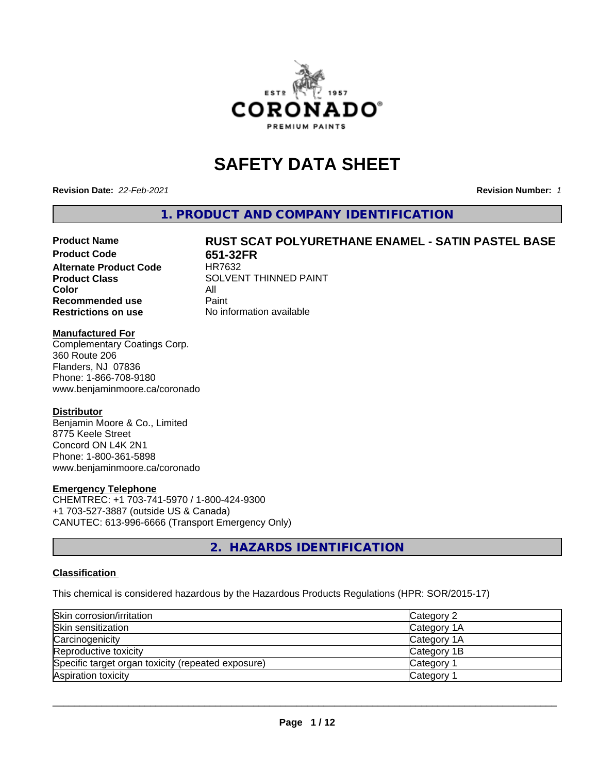

# **SAFETY DATA SHEET**

**Revision Date:** *22-Feb-2021* **Revision Number:** *1*

**1. PRODUCT AND COMPANY IDENTIFICATION**

# Product Name **RUST SCAT POLYURETHANE ENAMEL - SATIN PASTEL BASE**<br>Product Code 651-32FR

**Alternate Product Code Color** All<br> **Recommended use** Paint **Recommended use Restrictions on use** No information available

**651-32FR**<br>HR7632 **Product Class** SOLVENT THINNED PAINT

#### **Manufactured For**

Complementary Coatings Corp. 360 Route 206 Flanders, NJ 07836 Phone: 1-866-708-9180 www.benjaminmoore.ca/coronado

#### **Distributor**

Benjamin Moore & Co., Limited 8775 Keele Street Concord ON L4K 2N1 Phone: 1-800-361-5898 www.benjaminmoore.ca/coronado

#### **Emergency Telephone**

CHEMTREC: +1 703-741-5970 / 1-800-424-9300 +1 703-527-3887 (outside US & Canada) CANUTEC: 613-996-6666 (Transport Emergency Only)

**2. HAZARDS IDENTIFICATION**

#### **Classification**

This chemical is considered hazardous by the Hazardous Products Regulations (HPR: SOR/2015-17)

| Skin corrosion/irritation                          | Category 2            |
|----------------------------------------------------|-----------------------|
| Skin sensitization                                 | Category 1A           |
| Carcinogenicity                                    | Category 1A           |
| Reproductive toxicity                              | Category 1B           |
| Specific target organ toxicity (repeated exposure) | Category <sup>2</sup> |
| Aspiration toxicity                                | <b>Category</b>       |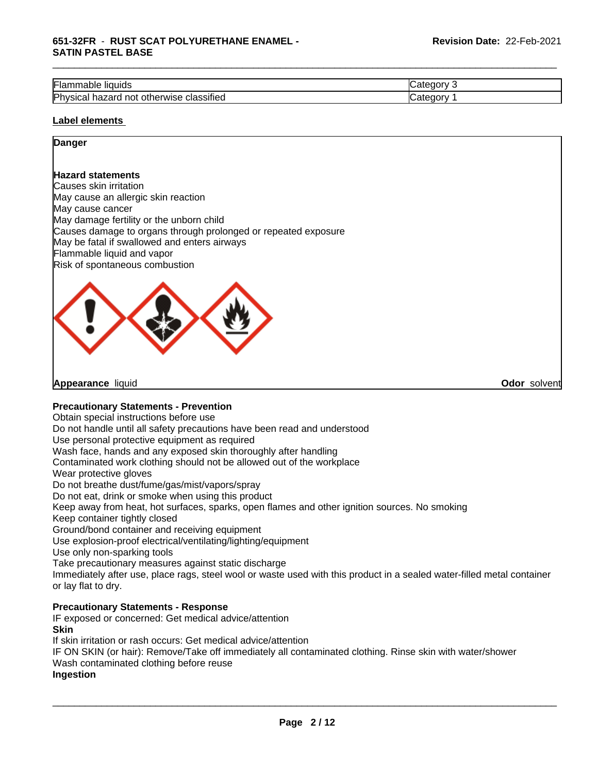| --<br><br>Flar<br>liquids <sup>.</sup><br>nable                               | $-$<br>-16 |
|-------------------------------------------------------------------------------|------------|
| .<br>Physica<br>classified<br>___<br>herwise<br>not<br>otr<br>nazard<br>ડાઉતા | -10        |

#### **Label elements**

# **Danger**

#### **Hazard statements**

Causes skin irritation May cause an allergic skin reaction May cause cancer May damage fertility or the unborn child Causes damage to organs through prolonged or repeated exposure May be fatal if swallowed and enters airways Flammable liquid and vapor Risk of spontaneous combustion



**Appearance** liquid **Odor** solvent

#### **Precautionary Statements - Prevention**

Obtain special instructions before use

Do not handle until all safety precautions have been read and understood

Use personal protective equipment as required

Wash face, hands and any exposed skin thoroughly after handling

Contaminated work clothing should not be allowed out of the workplace

Wear protective gloves

Do not breathe dust/fume/gas/mist/vapors/spray

Do not eat, drink or smoke when using this product

Keep away from heat, hot surfaces, sparks, open flames and other ignition sources. No smoking

Keep container tightly closed

Ground/bond container and receiving equipment

Use explosion-proof electrical/ventilating/lighting/equipment

Use only non-sparking tools

Take precautionary measures against static discharge

Immediately after use, place rags, steel wool or waste used with this product in a sealed water-filled metal container or lay flat to dry.

### **Precautionary Statements - Response**

IF exposed or concerned: Get medical advice/attention **Skin**

If skin irritation or rash occurs: Get medical advice/attention

IF ON SKIN (or hair): Remove/Take off immediately all contaminated clothing. Rinse skin with water/shower

Wash contaminated clothing before reuse

#### **Ingestion**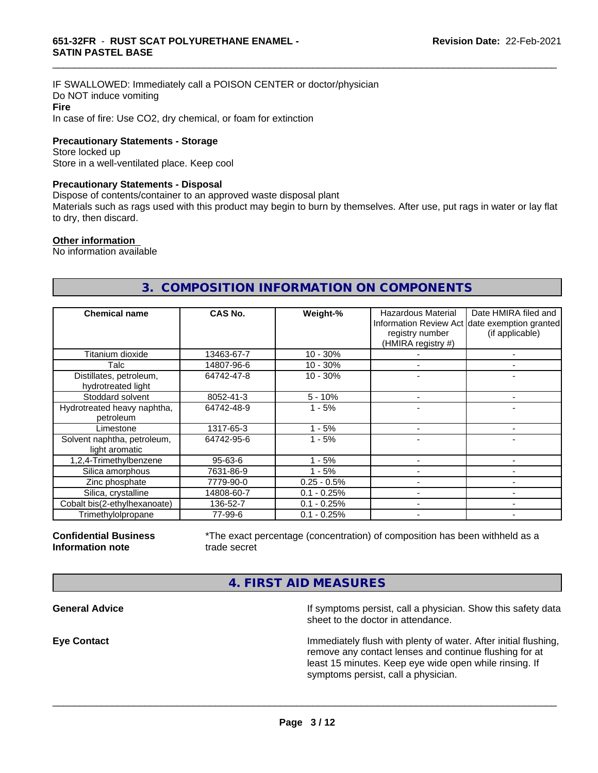IF SWALLOWED: Immediately call a POISON CENTER or doctor/physician Do NOT induce vomiting **Fire** In case of fire: Use CO2, dry chemical, or foam for extinction

**Precautionary Statements - Storage**

Store locked up Store in a well-ventilated place. Keep cool

#### **Precautionary Statements - Disposal**

Dispose of contents/container to an approved waste disposal plant

Materials such as rags used with this product may begin to burn by themselves. After use, put rags in water or lay flat to dry, then discard.

\_\_\_\_\_\_\_\_\_\_\_\_\_\_\_\_\_\_\_\_\_\_\_\_\_\_\_\_\_\_\_\_\_\_\_\_\_\_\_\_\_\_\_\_\_\_\_\_\_\_\_\_\_\_\_\_\_\_\_\_\_\_\_\_\_\_\_\_\_\_\_\_\_\_\_\_\_\_\_\_\_\_\_\_\_\_\_\_\_\_\_\_\_

#### **Other information**

No information available

# **3. COMPOSITION INFORMATION ON COMPONENTS**

| <b>Chemical name</b>                          | CAS No.       | Weight-%      | Hazardous Material<br>registry number<br>(HMIRA registry #) | Date HMIRA filed and<br>Information Review Act date exemption granted<br>(if applicable) |
|-----------------------------------------------|---------------|---------------|-------------------------------------------------------------|------------------------------------------------------------------------------------------|
| Titanium dioxide                              | 13463-67-7    | $10 - 30%$    |                                                             |                                                                                          |
| Talc                                          | 14807-96-6    | $10 - 30%$    |                                                             |                                                                                          |
| Distillates, petroleum,<br>hydrotreated light | 64742-47-8    | $10 - 30%$    |                                                             |                                                                                          |
| Stoddard solvent                              | 8052-41-3     | $5 - 10%$     |                                                             | ۰                                                                                        |
| Hydrotreated heavy naphtha,<br>petroleum      | 64742-48-9    | $1 - 5%$      |                                                             |                                                                                          |
| Limestone                                     | 1317-65-3     | - 5%          |                                                             |                                                                                          |
| Solvent naphtha, petroleum,<br>light aromatic | 64742-95-6    | - 5%          |                                                             |                                                                                          |
| 1,2,4-Trimethylbenzene                        | $95 - 63 - 6$ | $1 - 5%$      |                                                             |                                                                                          |
| Silica amorphous                              | 7631-86-9     | $1 - 5%$      |                                                             |                                                                                          |
| Zinc phosphate                                | 7779-90-0     | $0.25 - 0.5%$ |                                                             |                                                                                          |
| Silica, crystalline                           | 14808-60-7    | $0.1 - 0.25%$ |                                                             |                                                                                          |
| Cobalt bis(2-ethylhexanoate)                  | 136-52-7      | $0.1 - 0.25%$ |                                                             | -                                                                                        |
| Trimethylolpropane                            | 77-99-6       | $0.1 - 0.25%$ | $\overline{\phantom{a}}$                                    | -                                                                                        |

#### **Confidential Business Information note**

\*The exact percentage (concentration) of composition has been withheld as a trade secret

 $\overline{\phantom{a}}$  ,  $\overline{\phantom{a}}$  ,  $\overline{\phantom{a}}$  ,  $\overline{\phantom{a}}$  ,  $\overline{\phantom{a}}$  ,  $\overline{\phantom{a}}$  ,  $\overline{\phantom{a}}$  ,  $\overline{\phantom{a}}$  ,  $\overline{\phantom{a}}$  ,  $\overline{\phantom{a}}$  ,  $\overline{\phantom{a}}$  ,  $\overline{\phantom{a}}$  ,  $\overline{\phantom{a}}$  ,  $\overline{\phantom{a}}$  ,  $\overline{\phantom{a}}$  ,  $\overline{\phantom{a}}$ 

**4. FIRST AID MEASURES**

**General Advice If symptoms persist, call a physician. Show this safety data If** symptoms persist, call a physician. Show this safety data sheet to the doctor in attendance.

**Eye Contact Immediately flush with plenty of water. After initial flushing,** remove any contact lenses and continue flushing for at least 15 minutes. Keep eye wide open while rinsing. If symptoms persist, call a physician.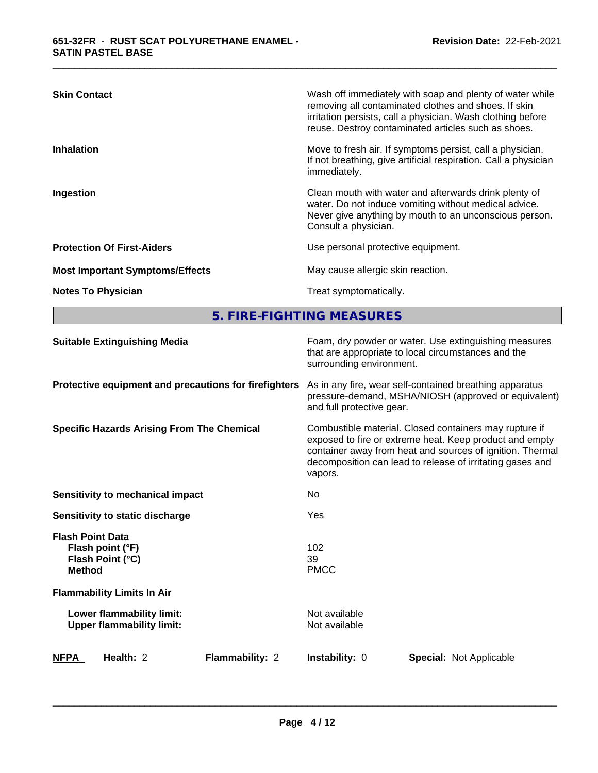| <b>Skin Contact</b>                    | Wash off immediately with soap and plenty of water while<br>removing all contaminated clothes and shoes. If skin<br>irritation persists, call a physician. Wash clothing before<br>reuse. Destroy contaminated articles such as shoes. |
|----------------------------------------|----------------------------------------------------------------------------------------------------------------------------------------------------------------------------------------------------------------------------------------|
| <b>Inhalation</b>                      | Move to fresh air. If symptoms persist, call a physician.<br>If not breathing, give artificial respiration. Call a physician<br>immediately.                                                                                           |
| Ingestion                              | Clean mouth with water and afterwards drink plenty of<br>water. Do not induce vomiting without medical advice.<br>Never give anything by mouth to an unconscious person.<br>Consult a physician.                                       |
| <b>Protection Of First-Aiders</b>      | Use personal protective equipment.                                                                                                                                                                                                     |
| <b>Most Important Symptoms/Effects</b> | May cause allergic skin reaction.                                                                                                                                                                                                      |
| <b>Notes To Physician</b>              | Treat symptomatically.                                                                                                                                                                                                                 |

**5. FIRE-FIGHTING MEASURES**

| <b>Suitable Extinguishing Media</b>                                              | surrounding environment.       | Foam, dry powder or water. Use extinguishing measures<br>that are appropriate to local circumstances and the                                                                                                                                |  |
|----------------------------------------------------------------------------------|--------------------------------|---------------------------------------------------------------------------------------------------------------------------------------------------------------------------------------------------------------------------------------------|--|
| Protective equipment and precautions for firefighters                            | and full protective gear.      | As in any fire, wear self-contained breathing apparatus<br>pressure-demand, MSHA/NIOSH (approved or equivalent)                                                                                                                             |  |
| <b>Specific Hazards Arising From The Chemical</b>                                | vapors.                        | Combustible material. Closed containers may rupture if<br>exposed to fire or extreme heat. Keep product and empty<br>container away from heat and sources of ignition. Thermal<br>decomposition can lead to release of irritating gases and |  |
| Sensitivity to mechanical impact                                                 | No                             |                                                                                                                                                                                                                                             |  |
| Sensitivity to static discharge                                                  | Yes                            |                                                                                                                                                                                                                                             |  |
| <b>Flash Point Data</b><br>Flash point (°F)<br>Flash Point (°C)<br><b>Method</b> | 102<br>39<br><b>PMCC</b>       |                                                                                                                                                                                                                                             |  |
| <b>Flammability Limits In Air</b>                                                |                                |                                                                                                                                                                                                                                             |  |
| Lower flammability limit:<br><b>Upper flammability limit:</b>                    | Not available<br>Not available |                                                                                                                                                                                                                                             |  |
| Health: 2<br><b>Flammability: 2</b><br><b>NFPA</b>                               | Instability: 0                 | <b>Special: Not Applicable</b>                                                                                                                                                                                                              |  |
|                                                                                  |                                |                                                                                                                                                                                                                                             |  |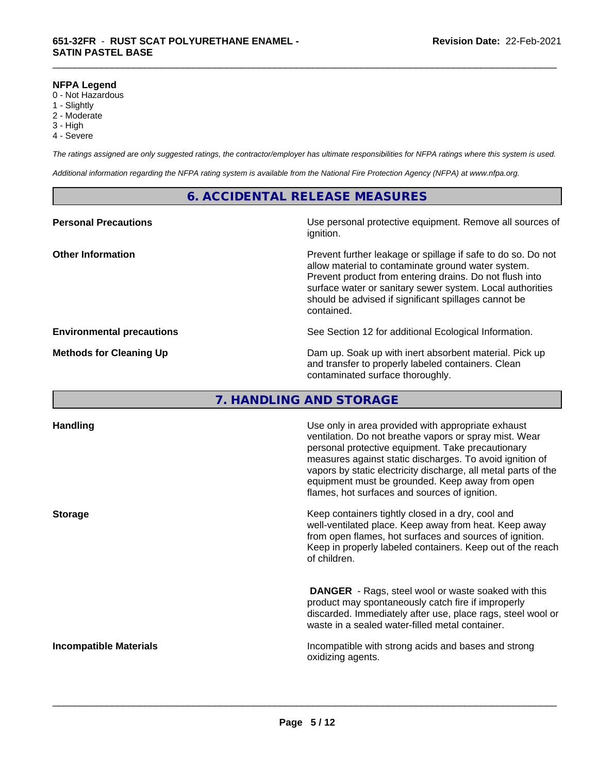#### **NFPA Legend**

- 0 Not Hazardous
- 1 Slightly
- 2 Moderate
- 3 High
- 4 Severe

*The ratings assigned are only suggested ratings, the contractor/employer has ultimate responsibilities for NFPA ratings where this system is used.*

\_\_\_\_\_\_\_\_\_\_\_\_\_\_\_\_\_\_\_\_\_\_\_\_\_\_\_\_\_\_\_\_\_\_\_\_\_\_\_\_\_\_\_\_\_\_\_\_\_\_\_\_\_\_\_\_\_\_\_\_\_\_\_\_\_\_\_\_\_\_\_\_\_\_\_\_\_\_\_\_\_\_\_\_\_\_\_\_\_\_\_\_\_

*Additional information regarding the NFPA rating system is available from the National Fire Protection Agency (NFPA) at www.nfpa.org.*

### **6. ACCIDENTAL RELEASE MEASURES**

| <b>Personal Precautions</b>      | Use personal protective equipment. Remove all sources of<br>ignition.                                                                                                                                                                                                                                            |
|----------------------------------|------------------------------------------------------------------------------------------------------------------------------------------------------------------------------------------------------------------------------------------------------------------------------------------------------------------|
| <b>Other Information</b>         | Prevent further leakage or spillage if safe to do so. Do not<br>allow material to contaminate ground water system.<br>Prevent product from entering drains. Do not flush into<br>surface water or sanitary sewer system. Local authorities<br>should be advised if significant spillages cannot be<br>contained. |
| <b>Environmental precautions</b> | See Section 12 for additional Ecological Information.                                                                                                                                                                                                                                                            |
| <b>Methods for Cleaning Up</b>   | Dam up. Soak up with inert absorbent material. Pick up<br>and transfer to properly labeled containers. Clean<br>contaminated surface thoroughly.                                                                                                                                                                 |

# **7. HANDLING AND STORAGE**

| <b>Handling</b>               | Use only in area provided with appropriate exhaust<br>ventilation. Do not breathe vapors or spray mist. Wear<br>personal protective equipment. Take precautionary<br>measures against static discharges. To avoid ignition of<br>vapors by static electricity discharge, all metal parts of the<br>equipment must be grounded. Keep away from open<br>flames, hot surfaces and sources of ignition. |
|-------------------------------|-----------------------------------------------------------------------------------------------------------------------------------------------------------------------------------------------------------------------------------------------------------------------------------------------------------------------------------------------------------------------------------------------------|
| <b>Storage</b>                | Keep containers tightly closed in a dry, cool and<br>well-ventilated place. Keep away from heat. Keep away<br>from open flames, hot surfaces and sources of ignition.<br>Keep in properly labeled containers. Keep out of the reach<br>of children.                                                                                                                                                 |
|                               | <b>DANGER</b> - Rags, steel wool or waste soaked with this<br>product may spontaneously catch fire if improperly<br>discarded. Immediately after use, place rags, steel wool or<br>waste in a sealed water-filled metal container.                                                                                                                                                                  |
| <b>Incompatible Materials</b> | Incompatible with strong acids and bases and strong<br>oxidizing agents.                                                                                                                                                                                                                                                                                                                            |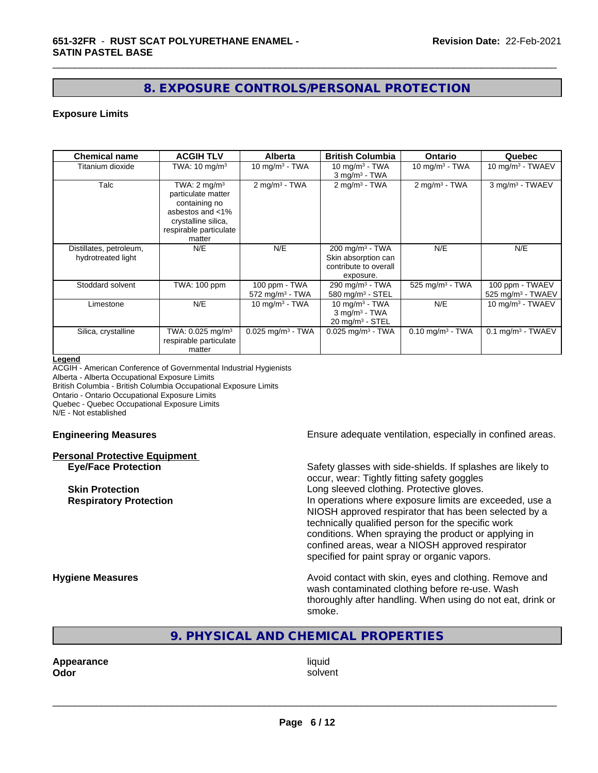# **8. EXPOSURE CONTROLS/PERSONAL PROTECTION**

\_\_\_\_\_\_\_\_\_\_\_\_\_\_\_\_\_\_\_\_\_\_\_\_\_\_\_\_\_\_\_\_\_\_\_\_\_\_\_\_\_\_\_\_\_\_\_\_\_\_\_\_\_\_\_\_\_\_\_\_\_\_\_\_\_\_\_\_\_\_\_\_\_\_\_\_\_\_\_\_\_\_\_\_\_\_\_\_\_\_\_\_\_

#### **Exposure Limits**

| <b>Chemical name</b>                          | <b>ACGIH TLV</b>                                                                                                                              | <b>Alberta</b>                                 | <b>British Columbia</b>                                                                 | Ontario                        | Quebec                                           |
|-----------------------------------------------|-----------------------------------------------------------------------------------------------------------------------------------------------|------------------------------------------------|-----------------------------------------------------------------------------------------|--------------------------------|--------------------------------------------------|
| Titanium dioxide                              | TWA: $10 \text{ mg/m}^3$                                                                                                                      | 10 mg/m $3 - TWA$                              | 10 mg/m $3$ - TWA<br>$3$ mg/m $3$ - TWA                                                 | 10 mg/m $3$ - TWA              | 10 mg/m $3$ - TWAEV                              |
| Talc                                          | TWA: $2 \text{ mg/m}^3$<br>particulate matter<br>containing no<br>asbestos and <1%<br>crystalline silica,<br>respirable particulate<br>matter | $2$ mg/m <sup>3</sup> - TWA                    | $2 \text{ mg/m}^3$ - TWA                                                                | $2$ mg/m <sup>3</sup> - TWA    | 3 mg/m <sup>3</sup> - TWAEV                      |
| Distillates, petroleum,<br>hydrotreated light | N/E                                                                                                                                           | N/E                                            | $200 \text{ mg/m}^3$ - TWA<br>Skin absorption can<br>contribute to overall<br>exposure. | N/E                            | N/E                                              |
| Stoddard solvent                              | TWA: 100 ppm                                                                                                                                  | 100 ppm - TWA<br>$572$ mg/m <sup>3</sup> - TWA | $290$ mg/m <sup>3</sup> - TWA<br>580 mg/m <sup>3</sup> - STEL                           | 525 mg/m $3$ - TWA             | 100 ppm - TWAEV<br>525 mg/m <sup>3</sup> - TWAEV |
| Limestone                                     | N/E                                                                                                                                           | 10 mg/m $3 - TWA$                              | 10 mg/m $3$ - TWA<br>$3$ mg/m $3$ - TWA<br>$20 \text{ mg/m}^3$ - STEL                   | N/E                            | 10 mg/m $3$ - TWAEV                              |
| Silica, crystalline                           | TWA: 0.025 mg/m <sup>3</sup><br>respirable particulate<br>matter                                                                              | $0.025$ mg/m <sup>3</sup> - TWA                | $0.025$ mg/m <sup>3</sup> - TWA                                                         | $0.10$ mg/m <sup>3</sup> - TWA | $0.1$ mg/m <sup>3</sup> - TWAEV                  |

#### **Legend**

ACGIH - American Conference of Governmental Industrial Hygienists Alberta - Alberta Occupational Exposure Limits British Columbia - British Columbia Occupational Exposure Limits Ontario - Ontario Occupational Exposure Limits Quebec - Quebec Occupational Exposure Limits N/E - Not established

#### **Personal Protective Equipment**

**Engineering Measures Ensure adequate ventilation, especially in confined areas.** 

**Eye/Face Protection** Safety glasses with side-shields. If splashes are likely to occur, wear: Tightly fitting safety goggles **Skin Protection Skin Protection Skin Protective gloves.** Long sleeved clothing. Protective gloves. **Respiratory Protection In operations where exposure limits are exceeded, use a** NIOSH approved respirator that has been selected by a technically qualified person for the specific work conditions. When spraying the product or applying in confined areas, wear a NIOSH approved respirator specified for paint spray or organic vapors.

**Hygiene Measures Avoid contact with skin, eyes and clothing. Remove and Avoid contact with skin, eyes and clothing. Remove and Avoid contact with skin, eyes and clothing. Remove and** wash contaminated clothing before re-use. Wash thoroughly after handling. When using do not eat, drink or smoke.

**9. PHYSICAL AND CHEMICAL PROPERTIES**

**Appearance** liquid **Odor** solvent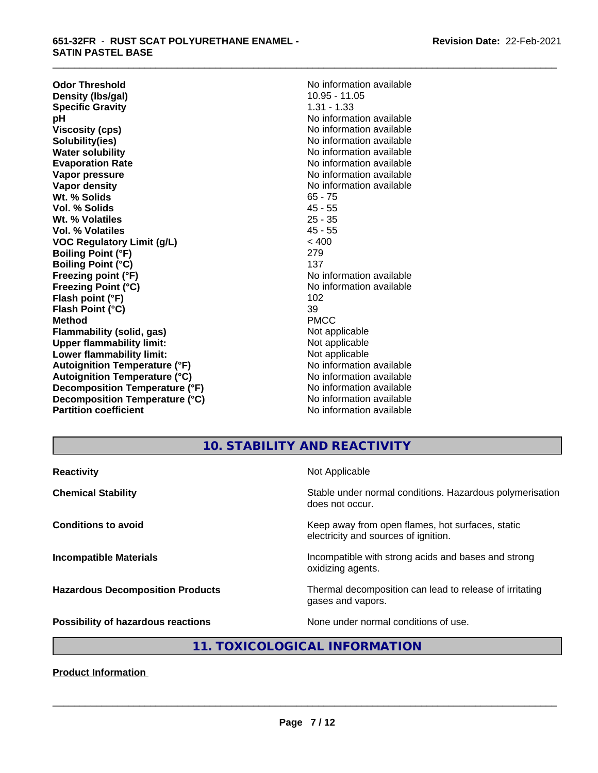#### **651-32FR** - **RUST SCAT POLYURETHANE ENAMEL - SATIN PASTEL BASE**

**Odor Threshold**<br> **Density (Ibs/gal)**<br> **Density (Ibs/gal)**<br> **No information available**<br>
10.95 - 11.05 **Density (Ibs/gal)** 10.95 - 11.05<br> **Specific Gravity** 1.31 - 1.33 **Specific Gravity**<br>pH **Viscosity (cps)** No information available in the Viscosity (cps) **Solubility(ies)** No information available **Water solubility** No information available **Evaporation Rate No information available No information available Vapor pressure** No information available **No information** available **Vapor density No information available No information available Wt. % Solids** 65 - 75 **Vol. % Solids** 45 - 55 **Wt. % Volatiles** 25 - 35<br> **Vol. % Volatiles** 25 - 35 **Vol. % Volatiles VOC Regulatory Limit (g/L)** < 400 **Boiling Point (°F)** 279 **Boiling Point (°C)** 137 **Freezing point (°F)** The state of the Monometer No information available **Freezing Point (°C)** No information available **Flash point (°F)** 102 **Flash Point (°C)** 39 **Method** PMCC **Flammability (solid, gas)** Not applicable **Upper flammability limit:**<br> **Lower flammability limit:**<br>
Not applicable<br>
Not applicable **Lower flammability limit:**<br> **Autoignition Temperature (°F)**<br>
Mo information available **Autoignition Temperature (°F) Autoignition Temperature (°C)** No information available **Decomposition Temperature (°F)** No information available **Decomposition Temperature (°C)** No information available **Partition coefficient** and the settlement of the Non-Information available

**No information available** 

\_\_\_\_\_\_\_\_\_\_\_\_\_\_\_\_\_\_\_\_\_\_\_\_\_\_\_\_\_\_\_\_\_\_\_\_\_\_\_\_\_\_\_\_\_\_\_\_\_\_\_\_\_\_\_\_\_\_\_\_\_\_\_\_\_\_\_\_\_\_\_\_\_\_\_\_\_\_\_\_\_\_\_\_\_\_\_\_\_\_\_\_\_

# **10. STABILITY AND REACTIVITY**

| Stable under normal conditions. Hazardous polymerisation<br><b>Chemical Stability</b><br>does not occur.                |
|-------------------------------------------------------------------------------------------------------------------------|
| Keep away from open flames, hot surfaces, static<br><b>Conditions to avoid</b><br>electricity and sources of ignition.  |
| <b>Incompatible Materials</b><br>Incompatible with strong acids and bases and strong<br>oxidizing agents.               |
| Thermal decomposition can lead to release of irritating<br><b>Hazardous Decomposition Products</b><br>gases and vapors. |
| None under normal conditions of use.<br><b>Possibility of hazardous reactions</b>                                       |

# **11. TOXICOLOGICAL INFORMATION**

**Product Information**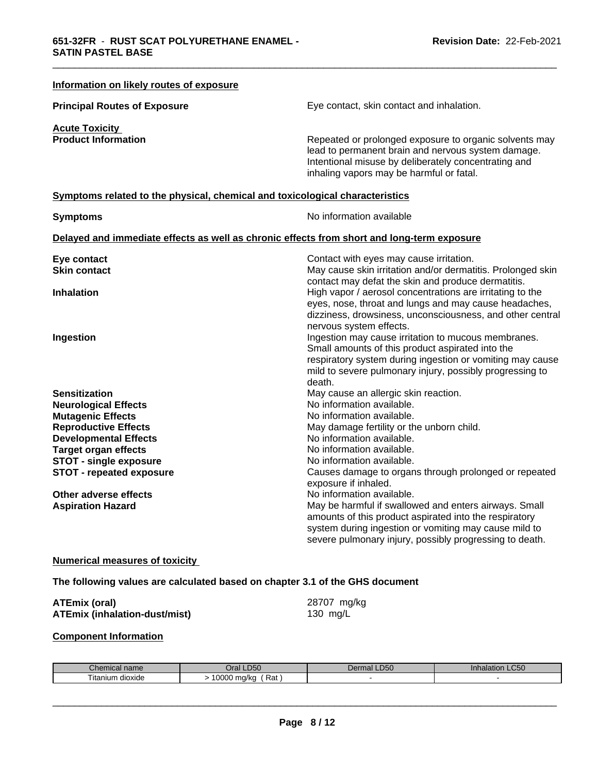| Information on likely routes of exposure                                     |                                                                                                                                                                                                                                            |
|------------------------------------------------------------------------------|--------------------------------------------------------------------------------------------------------------------------------------------------------------------------------------------------------------------------------------------|
| <b>Principal Routes of Exposure</b>                                          | Eye contact, skin contact and inhalation.                                                                                                                                                                                                  |
| <b>Acute Toxicity</b><br><b>Product Information</b>                          | Repeated or prolonged exposure to organic solvents may<br>lead to permanent brain and nervous system damage.<br>Intentional misuse by deliberately concentrating and<br>inhaling vapors may be harmful or fatal.                           |
| Symptoms related to the physical, chemical and toxicological characteristics |                                                                                                                                                                                                                                            |
| <b>Symptoms</b>                                                              | No information available                                                                                                                                                                                                                   |
|                                                                              | Delayed and immediate effects as well as chronic effects from short and long-term exposure                                                                                                                                                 |
| Eye contact<br><b>Skin contact</b>                                           | Contact with eyes may cause irritation.<br>May cause skin irritation and/or dermatitis. Prolonged skin<br>contact may defat the skin and produce dermatitis.                                                                               |
| <b>Inhalation</b>                                                            | High vapor / aerosol concentrations are irritating to the<br>eyes, nose, throat and lungs and may cause headaches,<br>dizziness, drowsiness, unconsciousness, and other central<br>nervous system effects.                                 |
| Ingestion                                                                    | Ingestion may cause irritation to mucous membranes.<br>Small amounts of this product aspirated into the<br>respiratory system during ingestion or vomiting may cause<br>mild to severe pulmonary injury, possibly progressing to<br>death. |
| <b>Sensitization</b>                                                         | May cause an allergic skin reaction.                                                                                                                                                                                                       |
| <b>Neurological Effects</b>                                                  | No information available.                                                                                                                                                                                                                  |
| <b>Mutagenic Effects</b>                                                     | No information available.                                                                                                                                                                                                                  |
| <b>Reproductive Effects</b><br><b>Developmental Effects</b>                  | May damage fertility or the unborn child.<br>No information available.                                                                                                                                                                     |
| <b>Target organ effects</b>                                                  | No information available.                                                                                                                                                                                                                  |
| <b>STOT - single exposure</b>                                                | No information available.                                                                                                                                                                                                                  |
| <b>STOT - repeated exposure</b>                                              | Causes damage to organs through prolonged or repeated<br>exposure if inhaled.                                                                                                                                                              |
| Other adverse effects                                                        | No information available.                                                                                                                                                                                                                  |
| <b>Aspiration Hazard</b>                                                     | May be harmful if swallowed and enters airways. Small<br>amounts of this product aspirated into the respiratory<br>system during ingestion or vomiting may cause mild to<br>severe pulmonary injury, possibly progressing to death.        |
| <b>Numerical measures of toxicity</b>                                        |                                                                                                                                                                                                                                            |
| The following values are calculated based on chapter 3.1 of the GHS document |                                                                                                                                                                                                                                            |
| <b>ATEmix (oral)</b><br><b>ATEmix (inhalation-dust/mist)</b>                 | 28707 mg/kg<br>130 mg/L                                                                                                                                                                                                                    |
| <b>Component Information</b>                                                 |                                                                                                                                                                                                                                            |

| $n \cdot m$<br><br>mcar r<br>णवागाः<br>л. н. | D <sub>50</sub><br>◡              | D <sub>50</sub><br>ma.<br>Jer | $\mathsf{L} \mathsf{C}50$<br>юл<br>amalar |
|----------------------------------------------|-----------------------------------|-------------------------------|-------------------------------------------|
| ıtanıum<br>m dioxide                         | 0000<br>⋻∼<br>ma/ka<br>nai<br>uuu |                               |                                           |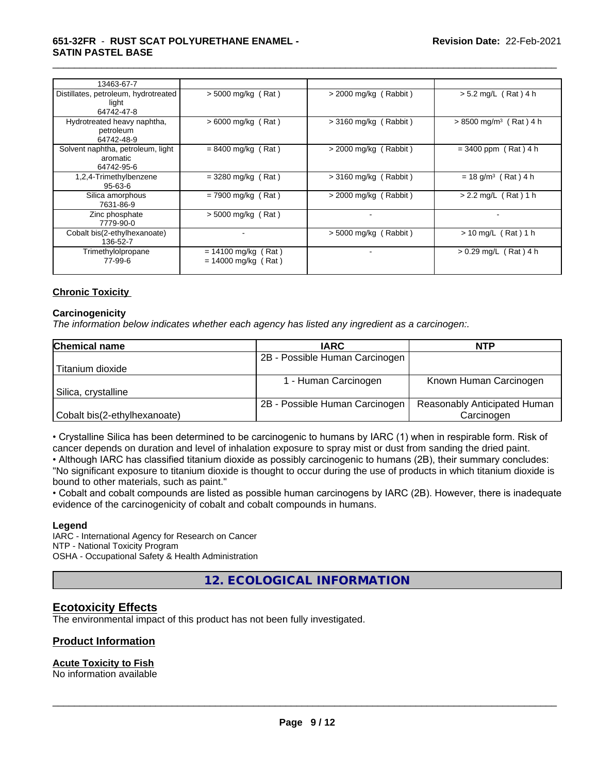| 13463-67-7                                                  |                                                |                              |                                      |
|-------------------------------------------------------------|------------------------------------------------|------------------------------|--------------------------------------|
| Distillates, petroleum, hydrotreated<br>light<br>64742-47-8 | $>$ 5000 mg/kg (Rat)                           | $>$ 2000 mg/kg (Rabbit)      | $> 5.2$ mg/L (Rat) 4 h               |
| Hydrotreated heavy naphtha,<br>petroleum<br>64742-48-9      | $>6000$ mg/kg (Rat)                            | $>$ 3160 mg/kg (Rabbit)      | $> 8500$ mg/m <sup>3</sup> (Rat) 4 h |
| Solvent naphtha, petroleum, light<br>aromatic<br>64742-95-6 | $= 8400$ mg/kg (Rat)                           | $>$ 2000 mg/kg (Rabbit)      | $= 3400$ ppm (Rat) 4 h               |
| 1,2,4-Trimethylbenzene<br>$95 - 63 - 6$                     | $=$ 3280 mg/kg (Rat)                           | $> 3160$ mg/kg (<br>(Rabbit) | $= 18$ g/m <sup>3</sup> (Rat) 4 h    |
| Silica amorphous<br>7631-86-9                               | $= 7900$ mg/kg (Rat)                           | $>$ 2000 mg/kg (Rabbit)      | $> 2.2$ mg/L (Rat) 1 h               |
| Zinc phosphate<br>7779-90-0                                 | $>$ 5000 mg/kg (Rat)                           |                              |                                      |
| Cobalt bis(2-ethylhexanoate)<br>136-52-7                    |                                                | $> 5000$ mg/kg (<br>(Rabbit) | $> 10$ mg/L (Rat) 1 h                |
| Trimethylolpropane<br>77-99-6                               | $= 14100$ mg/kg (Rat)<br>$= 14000$ mg/kg (Rat) |                              | $> 0.29$ mg/L<br>Rat ) 4 h           |

#### **Chronic Toxicity**

#### **Carcinogenicity**

*The information below indicateswhether each agency has listed any ingredient as a carcinogen:.*

| Chemical name                | <b>IARC</b>                    | <b>NTP</b>                   |
|------------------------------|--------------------------------|------------------------------|
|                              | 2B - Possible Human Carcinogen |                              |
| Titanium dioxide             |                                |                              |
|                              | - Human Carcinogen             | Known Human Carcinogen       |
| Silica, crystalline          |                                |                              |
|                              | 2B - Possible Human Carcinogen | Reasonably Anticipated Human |
| Cobalt bis(2-ethylhexanoate) |                                | Carcinogen                   |

• Crystalline Silica has been determined to be carcinogenic to humans by IARC (1) when in respirable form. Risk of cancer depends on duration and level of inhalation exposure to spray mist or dust from sanding the dried paint.

• Although IARC has classified titanium dioxide as possibly carcinogenic to humans (2B), their summary concludes: "No significant exposure to titanium dioxide is thought to occur during the use of products in which titanium dioxide is bound to other materials, such as paint."

• Cobalt and cobalt compounds are listed as possible human carcinogens by IARC (2B). However, there is inadequate evidence of the carcinogenicity of cobalt and cobalt compounds in humans.

#### **Legend**

IARC - International Agency for Research on Cancer NTP - National Toxicity Program OSHA - Occupational Safety & Health Administration

**12. ECOLOGICAL INFORMATION**

### **Ecotoxicity Effects**

The environmental impact of this product has not been fully investigated.

#### **Product Information**

#### **Acute Toxicity to Fish**

No information available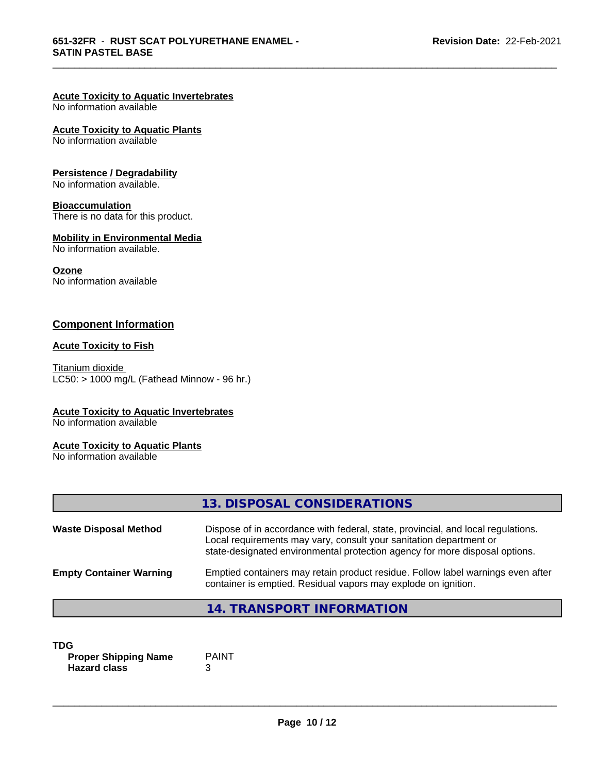### **Acute Toxicity to Aquatic Invertebrates**

No information available

#### **Acute Toxicity to Aquatic Plants**

No information available

#### **Persistence / Degradability**

No information available.

#### **Bioaccumulation**

There is no data for this product.

#### **Mobility in Environmental Media**

No information available.

#### **Ozone**

No information available

# **Component Information**

#### **Acute Toxicity to Fish**

Titanium dioxide  $LC50:$  > 1000 mg/L (Fathead Minnow - 96 hr.)

#### **Acute Toxicity to Aquatic Invertebrates**

No information available

#### **Acute Toxicity to Aquatic Plants**

No information available

|                                | 13. DISPOSAL CONSIDERATIONS                                                                                                                                                                                                           |
|--------------------------------|---------------------------------------------------------------------------------------------------------------------------------------------------------------------------------------------------------------------------------------|
| <b>Waste Disposal Method</b>   | Dispose of in accordance with federal, state, provincial, and local regulations.<br>Local requirements may vary, consult your sanitation department or<br>state-designated environmental protection agency for more disposal options. |
| <b>Empty Container Warning</b> | Emptied containers may retain product residue. Follow label warnings even after<br>container is emptied. Residual vapors may explode on ignition.                                                                                     |
|                                | 14. TRANSPORT INFORMATION                                                                                                                                                                                                             |

#### **TDG**<br>**Proper Shipping Name** PAINT **Proper Shipping Name Hazard class** 3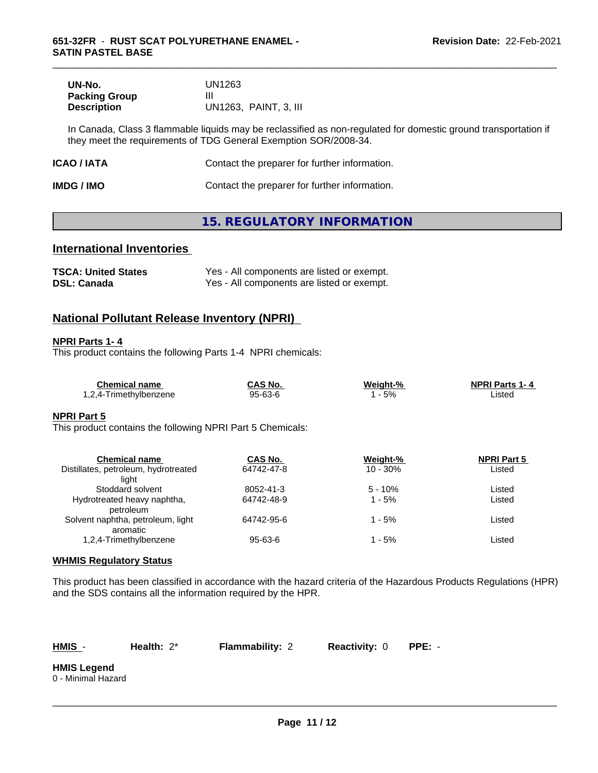| UN-No.               | UN1263                |
|----------------------|-----------------------|
| <b>Packing Group</b> | Ш                     |
| <b>Description</b>   | UN1263. PAINT, 3. III |

In Canada, Class 3 flammable liquids may be reclassified as non-regulated for domestic ground transportation if they meet the requirements of TDG General Exemption SOR/2008-34.

| <b>ICAO / IATA</b> | Contact the preparer for further information. |
|--------------------|-----------------------------------------------|
|--------------------|-----------------------------------------------|

**IMDG / IMO Contact the preparer for further information.** 

# **15. REGULATORY INFORMATION**

### **International Inventories**

| <b>TSCA: United States</b> | Yes - All components are listed or exempt. |
|----------------------------|--------------------------------------------|
| <b>DSL: Canada</b>         | Yes - All components are listed or exempt. |

# **National Pollutant Release Inventory (NPRI)**

#### **NPRI Parts 1- 4**

This product contains the following Parts 1-4 NPRI chemicals:

| <b>Chemical name</b>   | <b>CAS No.</b> | Weiaht-% | <b>NPRI Parts 1-4</b> |
|------------------------|----------------|----------|-----------------------|
| '.2.4-Trimethvlbenzene | 95-63-6        | 5%       | ∟isted                |

#### **NPRI Part 5**

This product contains the following NPRI Part 5 Chemicals:

| <b>Chemical name</b>                 | CAS No.    | Weight-%   | <b>NPRI Part 5</b> |  |
|--------------------------------------|------------|------------|--------------------|--|
| Distillates, petroleum, hydrotreated | 64742-47-8 | $10 - 30%$ | Listed             |  |
| liaht                                |            |            |                    |  |
| Stoddard solvent                     | 8052-41-3  | $5 - 10%$  | Listed             |  |
| Hydrotreated heavy naphtha,          | 64742-48-9 | 1 - 5%     | Listed             |  |
| petroleum                            |            |            |                    |  |
| Solvent naphtha, petroleum, light    | 64742-95-6 | 1 - 5%     | Listed             |  |
| aromatic                             |            |            |                    |  |
| 1,2,4-Trimethylbenzene               | 95-63-6    | 1 - 5%     | Listed             |  |
|                                      |            |            |                    |  |

#### **WHMIS Regulatory Status**

This product has been classified in accordance with the hazard criteria of the Hazardous Products Regulations (HPR) and the SDS contains all the information required by the HPR.

| ш | w |  |
|---|---|--|
|   |   |  |

**Health:**  $2^*$  **Flammability:** 2 **Reactivity:** 0 **PPE:** -

 $\overline{\phantom{a}}$  ,  $\overline{\phantom{a}}$  ,  $\overline{\phantom{a}}$  ,  $\overline{\phantom{a}}$  ,  $\overline{\phantom{a}}$  ,  $\overline{\phantom{a}}$  ,  $\overline{\phantom{a}}$  ,  $\overline{\phantom{a}}$  ,  $\overline{\phantom{a}}$  ,  $\overline{\phantom{a}}$  ,  $\overline{\phantom{a}}$  ,  $\overline{\phantom{a}}$  ,  $\overline{\phantom{a}}$  ,  $\overline{\phantom{a}}$  ,  $\overline{\phantom{a}}$  ,  $\overline{\phantom{a}}$ 

**HMIS Legend** 0 - Minimal Hazard